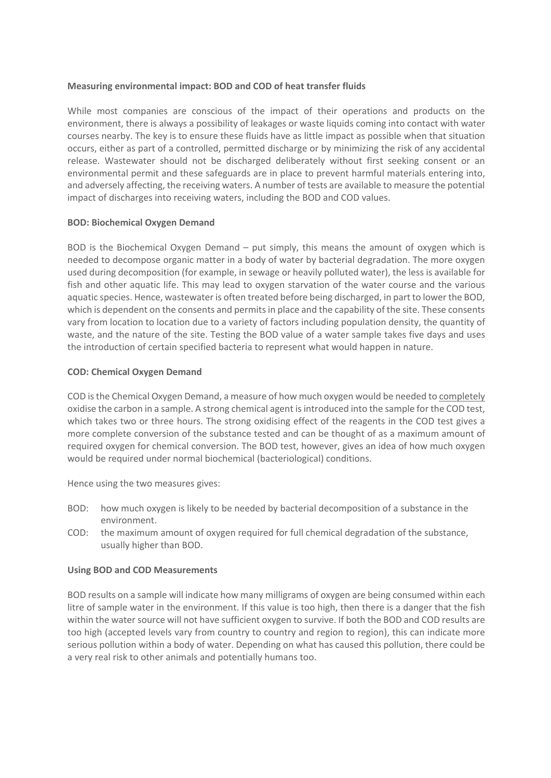## **Measuring environmental impact: BOD and COD of heat transfer fluids**

While most companies are conscious of the impact of their operations and products on the environment, there is always a possibility of leakages or waste liquids coming into contact with water courses nearby. The key is to ensure these fluids have as little impact as possible when that situation occurs, either as part of a controlled, permitted discharge or by minimizing the risk of any accidental release. Wastewater should not be discharged deliberately without first seeking consent or an environmental permit and these safeguards are in place to prevent harmful materials entering into, and adversely affecting, the receiving waters. A number of tests are available to measure the potential impact of discharges into receiving waters, including the BOD and COD values.

#### **BOD: Biochemical Oxygen Demand**

BOD is the Biochemical Oxygen Demand – put simply, this means the amount of oxygen which is needed to decompose organic matter in a body of water by bacterial degradation. The more oxygen used during decomposition (for example, in sewage or heavily polluted water), the less is available for fish and other aquatic life. This may lead to oxygen starvation of the water course and the various aquatic species. Hence, wastewater is often treated before being discharged, in part to lower the BOD, which is dependent on the consents and permits in place and the capability of the site. These consents vary from location to location due to a variety of factors including population density, the quantity of waste, and the nature of the site. Testing the BOD value of a water sample takes five days and uses the introduction of certain specified bacteria to represent what would happen in nature.

## **COD: Chemical Oxygen Demand**

COD is the Chemical Oxygen Demand, a measure of how much oxygen would be needed to completely oxidise the carbon in a sample. A strong chemical agent is introduced into the sample for the COD test, which takes two or three hours. The strong oxidising effect of the reagents in the COD test gives a more complete conversion of the substance tested and can be thought of as a maximum amount of required oxygen for chemical conversion. The BOD test, however, gives an idea of how much oxygen would be required under normal biochemical (bacteriological) conditions.

Hence using the two measures gives:

- BOD: how much oxygen is likely to be needed by bacterial decomposition of a substance in the environment.
- COD: the maximum amount of oxygen required for full chemical degradation of the substance, usually higher than BOD.

#### **Using BOD and COD Measurements**

BOD results on a sample will indicate how many milligrams of oxygen are being consumed within each litre of sample water in the environment. If this value is too high, then there is a danger that the fish within the water source will not have sufficient oxygen to survive. If both the BOD and COD results are too high (accepted levels vary from country to country and region to region), this can indicate more serious pollution within a body of water. Depending on what has caused this pollution, there could be a very real risk to other animals and potentially humans too.